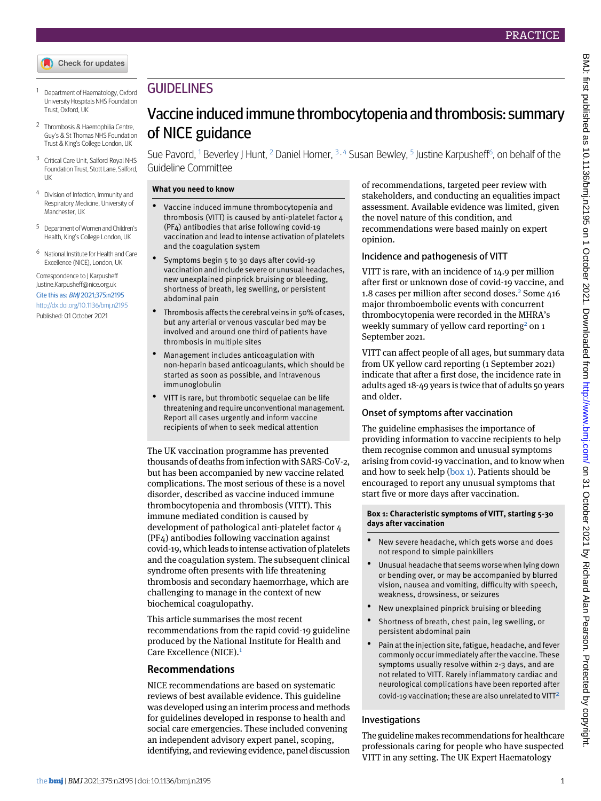

- <span id="page-0-1"></span><span id="page-0-0"></span><sup>1</sup> Department of Haematology, Oxford University Hospitals NHS Foundation Trust, Oxford, UK
- <span id="page-0-2"></span><sup>2</sup> Thrombosis & Haemophilia Centre, Guy's & St Thomas NHS Foundation Trust & King's College London, UK
- <span id="page-0-3"></span><sup>3</sup> Critical Care Unit, Salford Royal NHS Foundation Trust, Stott Lane, Salford, UK
- <span id="page-0-4"></span><sup>4</sup> Division of Infection, Immunity and Respiratory Medicine, University of Manchester, UK
- <span id="page-0-5"></span><sup>5</sup> Department of Women and Children's Health, King's College London, UK
- <sup>6</sup> National Institute for Health and Care Excellence (NICE), London, UK

Correspondence to J Karpusheff [Justine.Karpusheff@nice.org.uk](mailto:Justine.Karpusheff@nice.org.uk) Cite this as: BMJ 2021;375:n2195 <http://dx.doi.org/10.1136/bmj.n2195> Published: 01 October 2021

## **GUIDELINES**

# Vaccine induced immune thrombocytopenia and thrombosis: summary of NICE guidance

Sue Pavord,  $^1$  $^1$  Beverley J Hunt,  $^2$  $^2$  Daniel Horner,  $^3$  $^3$  ,  $^4$  $^4$  Susan Bewley,  $^5$  $^5$  Justine Karpusheff $^6$  $^6$ , on behalf of the Guideline Committee

## **What you need to know**

- Vaccine induced immune thrombocytopenia and thrombosis (VITT) is caused by anti-platelet factor 4 (PF4) antibodies that arise following covid-19 vaccination and lead to intense activation of platelets and the coagulation system
- Symptoms begin 5 to 30 days after covid-19 vaccination and include severe or unusual headaches, new unexplained pinprick bruising or bleeding, shortness of breath, leg swelling, or persistent abdominal pain
- Thrombosis affects the cerebral veins in 50% of cases. but any arterial or venous vascular bed may be involved and around one third of patients have thrombosis in multiple sites
- Management includes anticoagulation with non-heparin based anticoagulants, which should be started as soon as possible, and intravenous immunoglobulin
- VITT is rare, but thrombotic sequelae can be life threatening and require unconventional management. Report all cases urgently and inform vaccine recipients of when to seek medical attention

The UK vaccination programme has prevented thousands of deaths from infection with SARS-CoV-2, but has been accompanied by new vaccine related complications. The most serious of these is a novel disorder, described as vaccine induced immune thrombocytopenia and thrombosis (VITT). This immune mediated condition is caused by development of pathological anti-platelet factor 4 (PF4) antibodies following vaccination against covid-19, which leads to intense activation of platelets and the coagulation system. The subsequent clinical syndrome often presents with life threatening thrombosis and secondary haemorrhage, which are challenging to manage in the context of new biochemical coagulopathy.

This article summarises the most recent recommendations from the rapid covid-19 guideline produced by the National Institute for Health and Care Excellence (NICE).[1](#page-3-0)

## **Recommendations**

NICE recommendations are based on systematic reviews of best available evidence. This guideline was developed using an interim process and methods for guidelines developed in response to health and social care emergencies. These included convening an independent advisory expert panel, scoping, identifying, and reviewing evidence, panel discussion

of recommendations, targeted peer review with stakeholders, and conducting an equalities impact assessment. Available evidence was limited, given the novel nature of this condition, and recommendations were based mainly on expert opinion.

## Incidence and pathogenesis of VITT

VITT is rare, with an incidence of 14.9 per million after first or unknown dose of covid-19 vaccine, and 1.8 cases per million after second doses.<sup>[2](#page-3-1)</sup> Some 416 major thromboembolic events with concurrent thrombocytopenia were recorded in the MHRA's weekly summary of yellow card reporting<sup>[2](#page-3-1)</sup> on 1 September 2021.

VITT can affect people of all ages, but summary data from UK yellow card reporting (1 September 2021) indicate that after a first dose, the incidence rate in adults aged 18-49 years is twice that of adults 50 years and older.

## Onset of symptoms after vaccination

<span id="page-0-6"></span>The guideline emphasises the importance of providing information to vaccine recipients to help them recognise common and unusual symptoms arising from covid-19 vaccination, and to know when and how to seek help  $(box 1)$  $(box 1)$  $(box 1)$ . Patients should be encouraged to report any unusual symptoms that start five or more days after vaccination.

#### **Box 1: Characteristic symptoms of VITT, starting 5-30 days after vaccination**

- New severe headache, which gets worse and does not respond to simple painkillers
- Unusual headache that seems worse when lying down or bending over, or may be accompanied by blurred vision, nausea and vomiting, difficulty with speech, weakness, drowsiness, or seizures
- New unexplained pinprick bruising or bleeding
- Shortness of breath, chest pain, leg swelling, or persistent abdominal pain
- Pain at the injection site, fatigue, headache, and fever commonly occur immediately after the vaccine. These symptoms usually resolve within 2-3 days, and are not related to VITT. Rarely inflammatory cardiac and neurological complications have been reported after covid-19 vaccination; these are also unrelated to VITT<sup>[2](#page-3-1)</sup>

## Investigations

The guideline makes recommendations for healthcare professionals caring for people who have suspected VITT in any setting. The UK Expert Haematology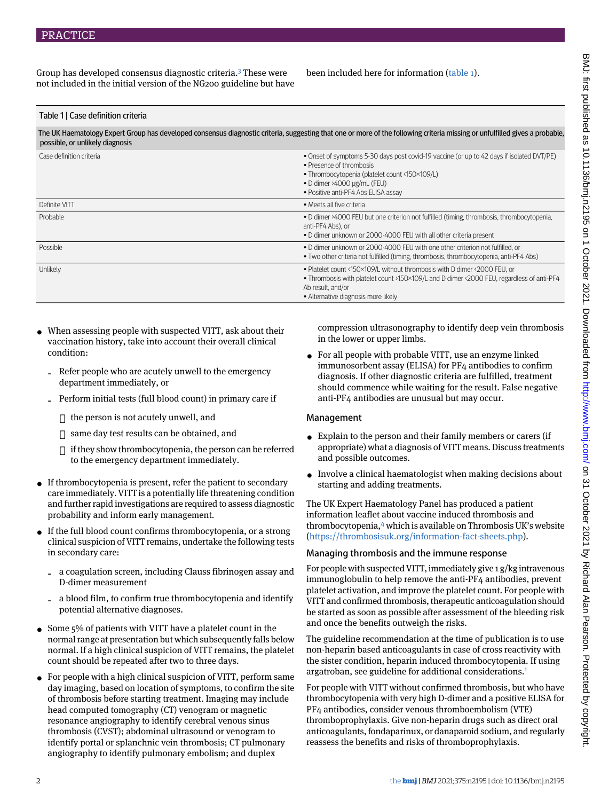Group has developed consensus diagnostic criteria.<sup>[3](#page-3-2)</sup> These were not included in the initial version of the NG200 guideline but have been included here for information ([table 1\)](#page-1-0).

### <span id="page-1-0"></span>Table 1 | Case definition criteria

The UK Haematology Expert Group has developed consensus diagnostic criteria, suggesting that one or more of the following criteria missing or unfulfilled gives a probable, possible, or unlikely diagnosis

| Case definition criteria | . Onset of symptoms 5-30 days post covid-19 vaccine (or up to 42 days if isolated DVT/PE)<br>• Presence of thrombosis<br>• Thrombocytopenia (platelet count <150×109/L)<br>$\bullet$ D dimer >4000 µg/mL (FEU)<br>• Positive anti-PF4 Abs ELISA assay |
|--------------------------|-------------------------------------------------------------------------------------------------------------------------------------------------------------------------------------------------------------------------------------------------------|
| Definite VITT            | • Meets all five criteria                                                                                                                                                                                                                             |
| Probable                 | . D dimer >4000 FEU but one criterion not fulfilled (timing, thrombosis, thrombocytopenia,<br>anti-PF4 Abs), or<br>• D dimer unknown or 2000-4000 FEU with all other criteria present                                                                 |
| Possible                 | • D dimer unknown or 2000-4000 FEU with one other criterion not fulfilled, or<br>• Two other criteria not fulfilled (timing, thrombosis, thrombocytopenia, anti-PF4 Abs)                                                                              |
| Unlikely                 | . Platelet count <150×109/L without thrombosis with D dimer <2000 FEU, or<br>• Thrombosis with platelet count >150×109/L and D dimer <2000 FEU, regardless of anti-PF4<br>Ab result, and/or<br>• Alternative diagnosis more likely                    |

- When assessing people with suspected VITT, ask about their vaccination history, take into account their overall clinical condition:
	- Refer people who are acutely unwell to the emergency department immediately, or
	- ‐ Perform initial tests (full blood count) in primary care if
		- $\Box$  the person is not acutely unwell, and
		- $\square$  same day test results can be obtained, and
		- $\Box$  if they show thrombocytopenia, the person can be referred to the emergency department immediately.
- If thrombocytopenia is present, refer the patient to secondary care immediately. VITT is a potentially life threatening condition and further rapid investigations are required to assess diagnostic probability and inform early management.
- If the full blood count confirms thrombocytopenia, or a strong clinical suspicion of VITT remains, undertake the following tests in secondary care:
	- ‐ a coagulation screen, including Clauss fibrinogen assay and D-dimer measurement
	- ‐ a blood film, to confirm true thrombocytopenia and identify potential alternative diagnoses.
- Some 5% of patients with VITT have a platelet count in the normal range at presentation but which subsequently falls below normal. If a high clinical suspicion of VITT remains, the platelet count should be repeated after two to three days.
- For people with a high clinical suspicion of VITT, perform same day imaging, based on location of symptoms, to confirm the site of thrombosis before starting treatment. Imaging may include head computed tomography (CT) venogram or magnetic resonance angiography to identify cerebral venous sinus thrombosis (CVST); abdominal ultrasound or venogram to identify portal or splanchnic vein thrombosis; CT pulmonary angiography to identify pulmonary embolism; and duplex

compression ultrasonography to identify deep vein thrombosis in the lower or upper limbs.

• For all people with probable VITT, use an enzyme linked immunosorbent assay (ELISA) for PF4 antibodies to confirm diagnosis. If other diagnostic criteria are fulfilled, treatment should commence while waiting for the result. False negative anti-PF4 antibodies are unusual but may occur.

## Management

- Explain to the person and their family members or carers (if appropriate) what a diagnosis of VITT means. Discuss treatments and possible outcomes.
- Involve a clinical haematologist when making decisions about starting and adding treatments.

The UK Expert Haematology Panel has produced a patient information leaflet about vaccine induced thrombosis and thrombocytopenia,<sup>[4](#page-3-3)</sup> which is available on Thrombosis UK's website (<https://thrombosisuk.org/information-fact-sheets.php>).

## Managing thrombosis and the immune response

For people with suspected VITT, immediately give 1 g/kg intravenous immunoglobulin to help remove the anti-PF4 antibodies, prevent platelet activation, and improve the platelet count. For people with VITT and confirmed thrombosis, therapeutic anticoagulation should be started as soon as possible after assessment of the bleeding risk and once the benefits outweigh the risks.

The guideline recommendation at the time of publication is to use non-heparin based anticoagulants in case of cross reactivity with the sister condition, heparin induced thrombocytopenia. If using argatroban, see guideline for additional considerations.[1](#page-3-0)

For people with VITT without confirmed thrombosis, but who have thrombocytopenia with very high D-dimer and a positive ELISA for PF4 antibodies, consider venous thromboembolism (VTE) thromboprophylaxis. Give non-heparin drugs such as direct oral anticoagulants, fondaparinux, or danaparoid sodium, and regularly reassess the benefits and risks of thromboprophylaxis.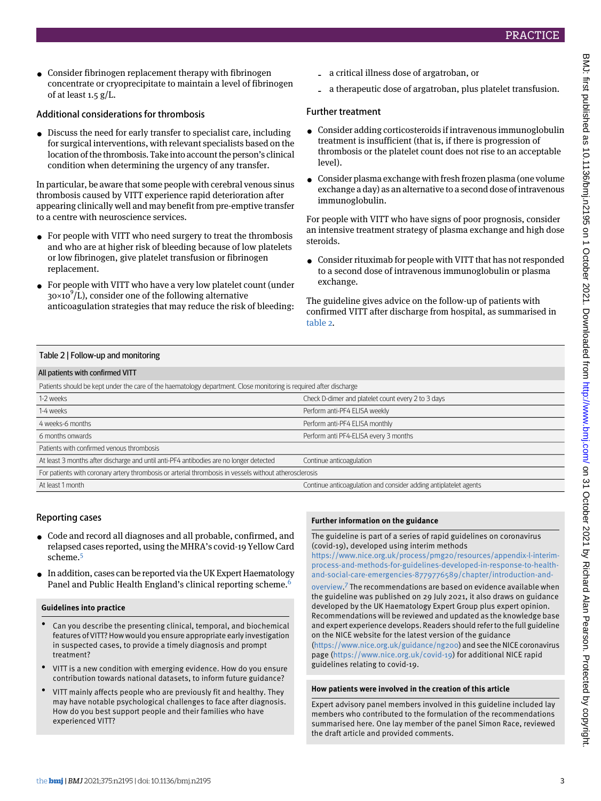• Consider fibrinogen replacement therapy with fibrinogen concentrate or cryoprecipitate to maintain a level of fibrinogen of at least 1.5 g/L.

## Additional considerations for thrombosis

• Discuss the need for early transfer to specialist care, including for surgical interventions, with relevant specialists based on the location of the thrombosis. Take into account the person's clinical condition when determining the urgency of any transfer.

In particular, be aware that some people with cerebral venous sinus thrombosis caused by VITT experience rapid deterioration after appearing clinically well and may benefit from pre-emptive transfer to a centre with neuroscience services.

- For people with VITT who need surgery to treat the thrombosis and who are at higher risk of bleeding because of low platelets or low fibrinogen, give platelet transfusion or fibrinogen replacement.
- <span id="page-2-0"></span>• For people with VITT who have a very low platelet count (under 30×10 9 /L), consider one of the following alternative anticoagulation strategies that may reduce the risk of bleeding:
- ‐ a critical illness dose of argatroban, or
- ‐ a therapeutic dose of argatroban, plus platelet transfusion.

## Further treatment

- Consider adding corticosteroids if intravenous immunoglobulin treatment is insufficient (that is, if there is progression of thrombosis or the platelet count does not rise to an acceptable level).
- Consider plasma exchange with fresh frozen plasma (one volume exchange a day) as an alternative to a second dose of intravenous immunoglobulin.

For people with VITT who have signs of poor prognosis, consider an intensive treatment strategy of plasma exchange and high dose steroids.

• Consider rituximab for people with VITT that has not responded to a second dose of intravenous immunoglobulin or plasma exchange.

The guideline gives advice on the follow-up of patients with confirmed VITT after discharge from hospital, as summarised in [table 2](#page-2-0).

### Table 2 | Follow-up and monitoring

#### All patients with confirmed VITT

| Patients should be kept under the care of the haematology department. Close monitoring is required after discharge |                                                                  |  |
|--------------------------------------------------------------------------------------------------------------------|------------------------------------------------------------------|--|
| 1-2 weeks                                                                                                          | Check D-dimer and platelet count every 2 to 3 days               |  |
| 1-4 weeks                                                                                                          | Perform anti-PF4 ELISA weekly                                    |  |
| 4 weeks-6 months                                                                                                   | Perform anti-PF4 ELISA monthly                                   |  |
| 6 months onwards                                                                                                   | Perform anti PF4-ELISA every 3 months                            |  |
| Patients with confirmed venous thrombosis                                                                          |                                                                  |  |
| At least 3 months after discharge and until anti-PF4 antibodies are no longer detected                             | Continue anticoagulation                                         |  |
| For patients with coronary artery thrombosis or arterial thrombosis in vessels without atherosclerosis             |                                                                  |  |
| At least 1 month                                                                                                   | Continue anticoagulation and consider adding antiplatelet agents |  |

## Reporting cases

- Code and record all diagnoses and all probable, confirmed, and relapsed cases reported, using the MHRA's covid-19 Yellow Card scheme.<sup>[5](#page-3-4)</sup>
- In addition, cases can be reported via the UK Expert Haematology Panel and Public Health England's clinical reporting scheme.<sup>[6](#page-3-5)</sup>

#### **Guidelines into practice**

- Can you describe the presenting clinical, temporal, and biochemical features of VITT? How would you ensure appropriate early investigation in suspected cases, to provide a timely diagnosis and prompt treatment?
- VITT is a new condition with emerging evidence. How do you ensure contribution towards national datasets, to inform future guidance?
- VITT mainly affects people who are previously fit and healthy. They may have notable psychological challenges to face after diagnosis. How do you best support people and their families who have experienced VITT?

#### **Further information on the guidance**

The guideline is part of a series of rapid guidelines on coronavirus (covid-19), developed using interim methods

[https://www.nice.org.uk/process/pmg20/resources/appendix-l-interim](https://www.nice.org.uk/process/pmg20/resources/appendix-l-interim-process-and-methods-for-guidelines-developed-in-response-to-health-and-social-care-emergencies-8779776589/chapter/introduction-and-overview)[process-and-methods-for-guidelines-developed-in-response-to-health](https://www.nice.org.uk/process/pmg20/resources/appendix-l-interim-process-and-methods-for-guidelines-developed-in-response-to-health-and-social-care-emergencies-8779776589/chapter/introduction-and-overview)[and-social-care-emergencies-8779776589/chapter/introduction-and-](https://www.nice.org.uk/process/pmg20/resources/appendix-l-interim-process-and-methods-for-guidelines-developed-in-response-to-health-and-social-care-emergencies-8779776589/chapter/introduction-and-overview)

[overview](https://www.nice.org.uk/process/pmg20/resources/appendix-l-interim-process-and-methods-for-guidelines-developed-in-response-to-health-and-social-care-emergencies-8779776589/chapter/introduction-and-overview). [7](#page-3-6) The recommendations are based on evidence available when the guideline was published on 29 July 2021, it also draws on guidance developed by the UK Haematology Expert Group plus expert opinion. Recommendations will be reviewed and updated as the knowledge base and expert experience develops. Readers should refer to the full guideline on the NICE website for the latest version of the guidance [\(https://www.nice.org.uk/guidance/ng200](https://www.nice.org.uk/guidance/ng200)) and see the NICE coronavirus

page [\(https://www.nice.org.uk/covid-19](https://www.nice.org.uk/covid-19)) for additional NICE rapid guidelines relating to covid-19.

#### **How patients were involved in the creation of this article**

Expert advisory panel members involved in this guideline included lay members who contributed to the formulation of the recommendations summarised here. One lay member of the panel Simon Race, reviewed the draft article and provided comments.